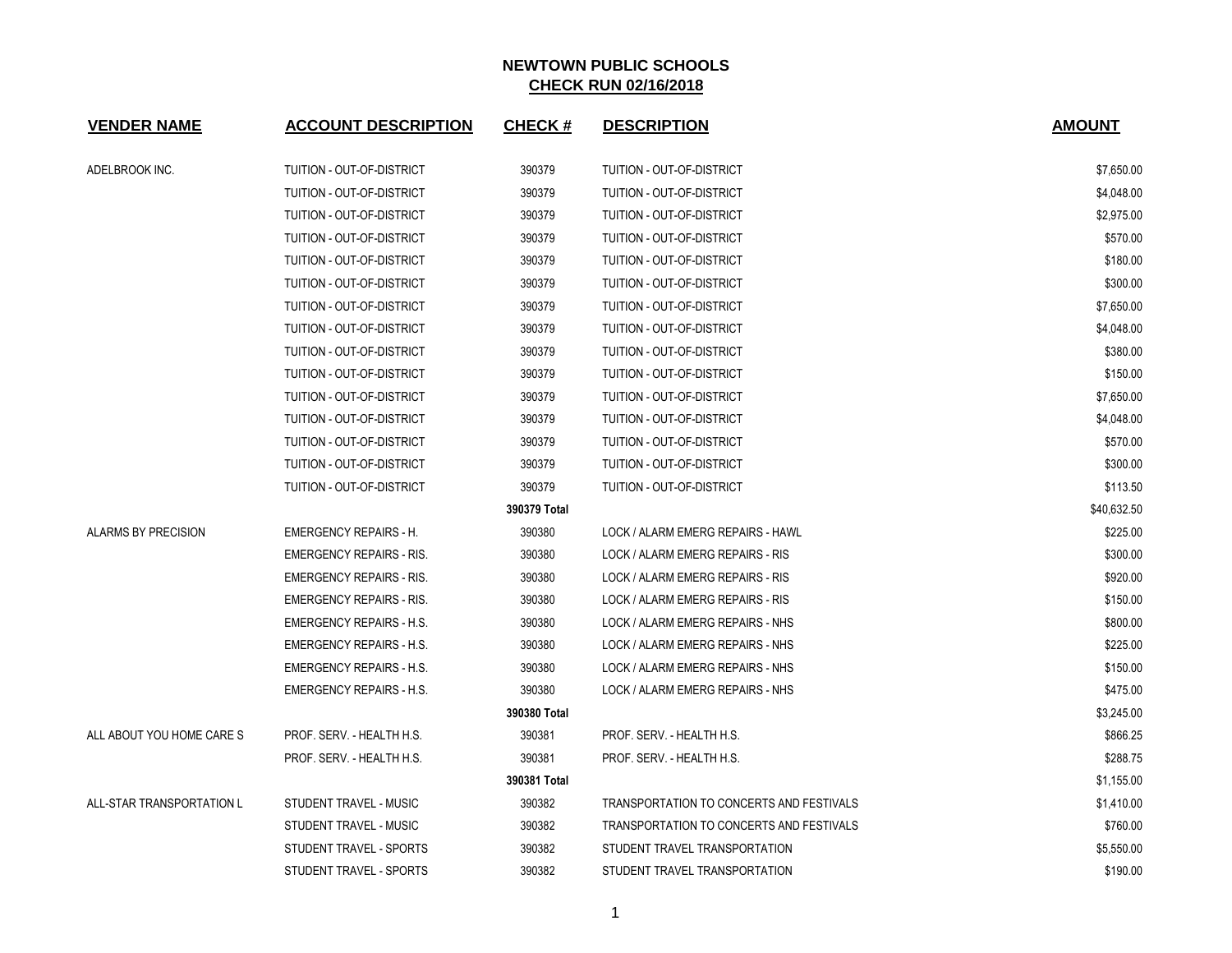| <b>VENDER NAME</b>         | <b>ACCOUNT DESCRIPTION</b>      | <b>CHECK#</b> | <b>DESCRIPTION</b>                       | <b>AMOUNT</b> |
|----------------------------|---------------------------------|---------------|------------------------------------------|---------------|
| ADELBROOK INC.             | TUITION - OUT-OF-DISTRICT       | 390379        | TUITION - OUT-OF-DISTRICT                | \$7,650.00    |
|                            | TUITION - OUT-OF-DISTRICT       | 390379        | <b>TUITION - OUT-OF-DISTRICT</b>         | \$4,048.00    |
|                            | TUITION - OUT-OF-DISTRICT       | 390379        | <b>TUITION - OUT-OF-DISTRICT</b>         | \$2,975.00    |
|                            | TUITION - OUT-OF-DISTRICT       | 390379        | TUITION - OUT-OF-DISTRICT                | \$570.00      |
|                            | TUITION - OUT-OF-DISTRICT       | 390379        | TUITION - OUT-OF-DISTRICT                | \$180.00      |
|                            | TUITION - OUT-OF-DISTRICT       | 390379        | TUITION - OUT-OF-DISTRICT                | \$300.00      |
|                            | TUITION - OUT-OF-DISTRICT       | 390379        | <b>TUITION - OUT-OF-DISTRICT</b>         | \$7,650.00    |
|                            | TUITION - OUT-OF-DISTRICT       | 390379        | TUITION - OUT-OF-DISTRICT                | \$4,048.00    |
|                            | TUITION - OUT-OF-DISTRICT       | 390379        | TUITION - OUT-OF-DISTRICT                | \$380.00      |
|                            | TUITION - OUT-OF-DISTRICT       | 390379        | TUITION - OUT-OF-DISTRICT                | \$150.00      |
|                            | TUITION - OUT-OF-DISTRICT       | 390379        | TUITION - OUT-OF-DISTRICT                | \$7,650.00    |
|                            | TUITION - OUT-OF-DISTRICT       | 390379        | <b>TUITION - OUT-OF-DISTRICT</b>         | \$4,048.00    |
|                            | TUITION - OUT-OF-DISTRICT       | 390379        | TUITION - OUT-OF-DISTRICT                | \$570.00      |
|                            | TUITION - OUT-OF-DISTRICT       | 390379        | TUITION - OUT-OF-DISTRICT                | \$300.00      |
|                            | TUITION - OUT-OF-DISTRICT       | 390379        | TUITION - OUT-OF-DISTRICT                | \$113.50      |
|                            |                                 | 390379 Total  |                                          | \$40,632.50   |
| <b>ALARMS BY PRECISION</b> | <b>EMERGENCY REPAIRS - H.</b>   | 390380        | LOCK / ALARM EMERG REPAIRS - HAWL        | \$225.00      |
|                            | <b>EMERGENCY REPAIRS - RIS.</b> | 390380        | LOCK / ALARM EMERG REPAIRS - RIS         | \$300.00      |
|                            | <b>EMERGENCY REPAIRS - RIS.</b> | 390380        | LOCK / ALARM EMERG REPAIRS - RIS         | \$920.00      |
|                            | <b>EMERGENCY REPAIRS - RIS.</b> | 390380        | LOCK / ALARM EMERG REPAIRS - RIS         | \$150.00      |
|                            | <b>EMERGENCY REPAIRS - H.S.</b> | 390380        | LOCK / ALARM EMERG REPAIRS - NHS         | \$800.00      |
|                            | <b>EMERGENCY REPAIRS - H.S.</b> | 390380        | LOCK / ALARM EMERG REPAIRS - NHS         | \$225.00      |
|                            | <b>EMERGENCY REPAIRS - H.S.</b> | 390380        | LOCK / ALARM EMERG REPAIRS - NHS         | \$150.00      |
|                            | <b>EMERGENCY REPAIRS - H.S.</b> | 390380        | LOCK / ALARM EMERG REPAIRS - NHS         | \$475.00      |
|                            |                                 | 390380 Total  |                                          | \$3,245.00    |
| ALL ABOUT YOU HOME CARE S  | PROF. SERV. - HEALTH H.S.       | 390381        | PROF. SERV. - HEALTH H.S.                | \$866.25      |
|                            | PROF. SERV. - HEALTH H.S.       | 390381        | PROF. SERV. - HEALTH H.S.                | \$288.75      |
|                            |                                 | 390381 Total  |                                          | \$1,155.00    |
| ALL-STAR TRANSPORTATION L  | STUDENT TRAVEL - MUSIC          | 390382        | TRANSPORTATION TO CONCERTS AND FESTIVALS | \$1,410.00    |
|                            | STUDENT TRAVEL - MUSIC          | 390382        | TRANSPORTATION TO CONCERTS AND FESTIVALS | \$760.00      |
|                            | STUDENT TRAVEL - SPORTS         | 390382        | STUDENT TRAVEL TRANSPORTATION            | \$5,550.00    |
|                            | STUDENT TRAVEL - SPORTS         | 390382        | STUDENT TRAVEL TRANSPORTATION            | \$190.00      |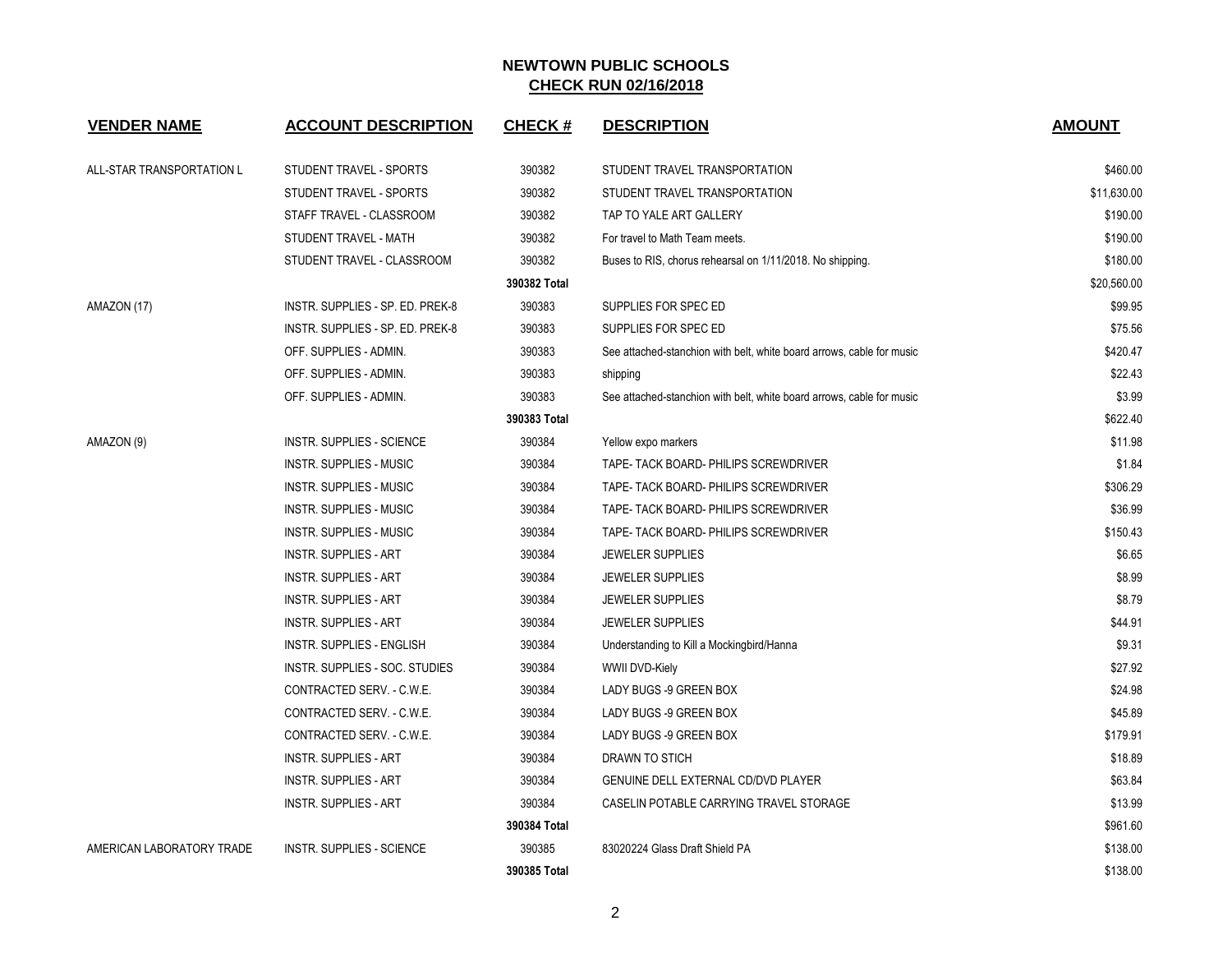| <b>VENDER NAME</b>        | <b>ACCOUNT DESCRIPTION</b>       | <b>CHECK#</b> | <b>DESCRIPTION</b>                                                    | <b>AMOUNT</b> |
|---------------------------|----------------------------------|---------------|-----------------------------------------------------------------------|---------------|
| ALL-STAR TRANSPORTATION L | STUDENT TRAVEL - SPORTS          | 390382        | STUDENT TRAVEL TRANSPORTATION                                         | \$460.00      |
|                           | STUDENT TRAVEL - SPORTS          | 390382        | STUDENT TRAVEL TRANSPORTATION                                         | \$11,630.00   |
|                           | STAFF TRAVEL - CLASSROOM         | 390382        | TAP TO YALE ART GALLERY                                               | \$190.00      |
|                           | STUDENT TRAVEL - MATH            | 390382        | For travel to Math Team meets.                                        | \$190.00      |
|                           | STUDENT TRAVEL - CLASSROOM       | 390382        | Buses to RIS, chorus rehearsal on 1/11/2018. No shipping.             | \$180.00      |
|                           |                                  | 390382 Total  |                                                                       | \$20,560.00   |
| AMAZON (17)               | INSTR. SUPPLIES - SP. ED. PREK-8 | 390383        | SUPPLIES FOR SPEC ED                                                  | \$99.95       |
|                           | INSTR. SUPPLIES - SP. ED. PREK-8 | 390383        | SUPPLIES FOR SPEC ED                                                  | \$75.56       |
|                           | OFF. SUPPLIES - ADMIN.           | 390383        | See attached-stanchion with belt, white board arrows, cable for music | \$420.47      |
|                           | OFF. SUPPLIES - ADMIN.           | 390383        | shipping                                                              | \$22.43       |
|                           | OFF. SUPPLIES - ADMIN.           | 390383        | See attached-stanchion with belt, white board arrows, cable for music | \$3.99        |
|                           |                                  | 390383 Total  |                                                                       | \$622.40      |
| AMAZON (9)                | <b>INSTR. SUPPLIES - SCIENCE</b> | 390384        | Yellow expo markers                                                   | \$11.98       |
|                           | INSTR. SUPPLIES - MUSIC          | 390384        | TAPE- TACK BOARD- PHILIPS SCREWDRIVER                                 | \$1.84        |
|                           | INSTR. SUPPLIES - MUSIC          | 390384        | TAPE- TACK BOARD- PHILIPS SCREWDRIVER                                 | \$306.29      |
|                           | INSTR. SUPPLIES - MUSIC          | 390384        | TAPE- TACK BOARD- PHILIPS SCREWDRIVER                                 | \$36.99       |
|                           | <b>INSTR. SUPPLIES - MUSIC</b>   | 390384        | TAPE- TACK BOARD- PHILIPS SCREWDRIVER                                 | \$150.43      |
|                           | <b>INSTR. SUPPLIES - ART</b>     | 390384        | <b>JEWELER SUPPLIES</b>                                               | \$6.65        |
|                           | <b>INSTR. SUPPLIES - ART</b>     | 390384        | <b>JEWELER SUPPLIES</b>                                               | \$8.99        |
|                           | <b>INSTR. SUPPLIES - ART</b>     | 390384        | <b>JEWELER SUPPLIES</b>                                               | \$8.79        |
|                           | <b>INSTR. SUPPLIES - ART</b>     | 390384        | <b>JEWELER SUPPLIES</b>                                               | \$44.91       |
|                           | <b>INSTR. SUPPLIES - ENGLISH</b> | 390384        | Understanding to Kill a Mockingbird/Hanna                             | \$9.31        |
|                           | INSTR. SUPPLIES - SOC. STUDIES   | 390384        | <b>WWII DVD-Kiely</b>                                                 | \$27.92       |
|                           | CONTRACTED SERV. - C.W.E.        | 390384        | LADY BUGS -9 GREEN BOX                                                | \$24.98       |
|                           | CONTRACTED SERV. - C.W.E.        | 390384        | LADY BUGS -9 GREEN BOX                                                | \$45.89       |
|                           | CONTRACTED SERV. - C.W.E.        | 390384        | LADY BUGS -9 GREEN BOX                                                | \$179.91      |
|                           | <b>INSTR. SUPPLIES - ART</b>     | 390384        | DRAWN TO STICH                                                        | \$18.89       |
|                           | <b>INSTR. SUPPLIES - ART</b>     | 390384        | GENUINE DELL EXTERNAL CD/DVD PLAYER                                   | \$63.84       |
|                           | <b>INSTR. SUPPLIES - ART</b>     | 390384        | CASELIN POTABLE CARRYING TRAVEL STORAGE                               | \$13.99       |
|                           |                                  | 390384 Total  |                                                                       | \$961.60      |
| AMERICAN LABORATORY TRADE | <b>INSTR. SUPPLIES - SCIENCE</b> | 390385        | 83020224 Glass Draft Shield PA                                        | \$138.00      |
|                           |                                  | 390385 Total  |                                                                       | \$138.00      |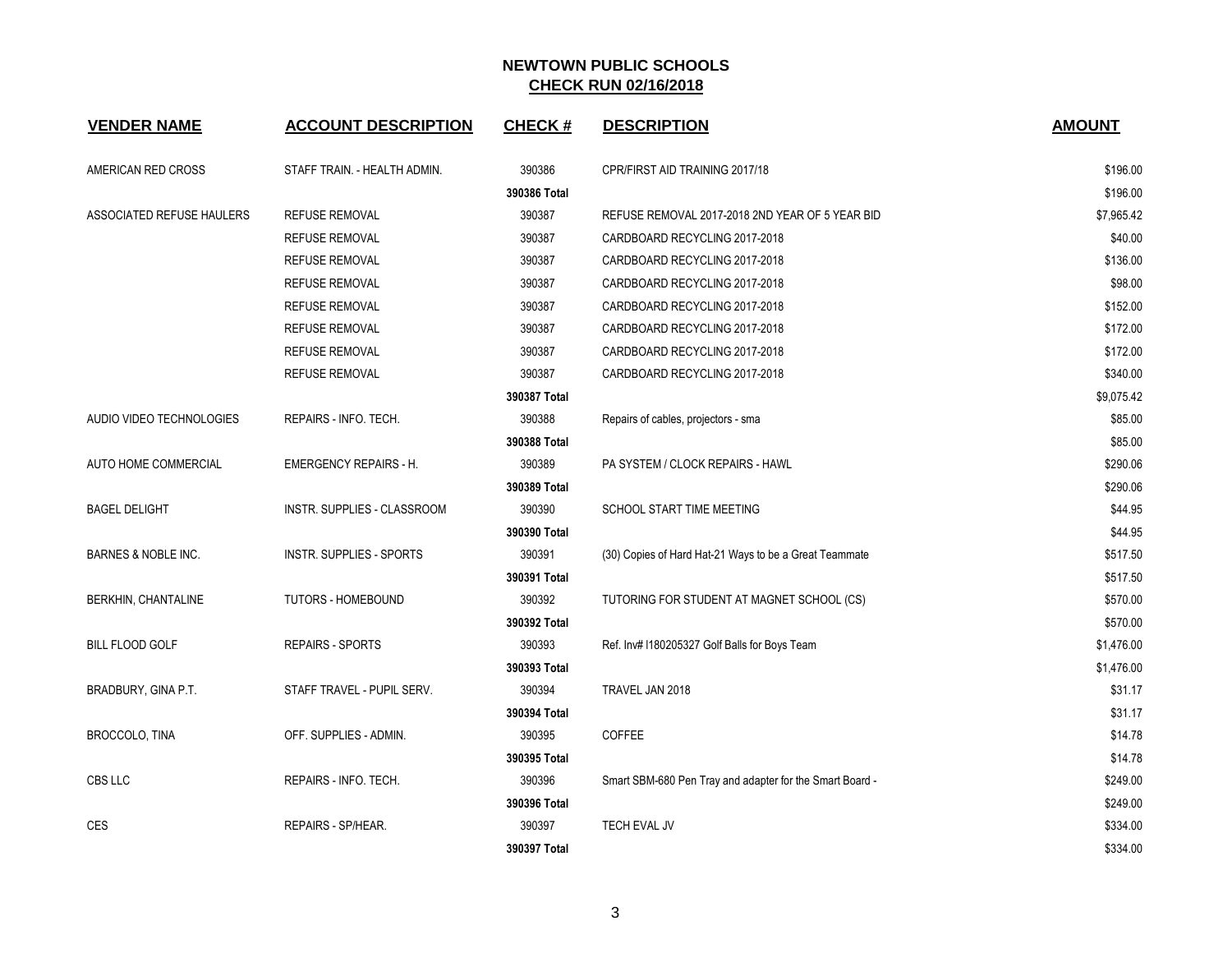| <b>VENDER NAME</b>        | <b>ACCOUNT DESCRIPTION</b>      | <b>CHECK#</b> | <b>DESCRIPTION</b>                                       | <b>AMOUNT</b> |
|---------------------------|---------------------------------|---------------|----------------------------------------------------------|---------------|
| AMERICAN RED CROSS        | STAFF TRAIN. - HEALTH ADMIN.    | 390386        | CPR/FIRST AID TRAINING 2017/18                           | \$196.00      |
|                           |                                 | 390386 Total  |                                                          | \$196.00      |
| ASSOCIATED REFUSE HAULERS | <b>REFUSE REMOVAL</b>           | 390387        | REFUSE REMOVAL 2017-2018 2ND YEAR OF 5 YEAR BID          | \$7,965.42    |
|                           | <b>REFUSE REMOVAL</b>           | 390387        | CARDBOARD RECYCLING 2017-2018                            | \$40.00       |
|                           | <b>REFUSE REMOVAL</b>           | 390387        | CARDBOARD RECYCLING 2017-2018                            | \$136.00      |
|                           | <b>REFUSE REMOVAL</b>           | 390387        | CARDBOARD RECYCLING 2017-2018                            | \$98.00       |
|                           | <b>REFUSE REMOVAL</b>           | 390387        | CARDBOARD RECYCLING 2017-2018                            | \$152.00      |
|                           | <b>REFUSE REMOVAL</b>           | 390387        | CARDBOARD RECYCLING 2017-2018                            | \$172.00      |
|                           | <b>REFUSE REMOVAL</b>           | 390387        | CARDBOARD RECYCLING 2017-2018                            | \$172.00      |
|                           | REFUSE REMOVAL                  | 390387        | CARDBOARD RECYCLING 2017-2018                            | \$340.00      |
|                           |                                 | 390387 Total  |                                                          | \$9,075.42    |
| AUDIO VIDEO TECHNOLOGIES  | REPAIRS - INFO. TECH.           | 390388        | Repairs of cables, projectors - sma                      | \$85.00       |
|                           |                                 | 390388 Total  |                                                          | \$85.00       |
| AUTO HOME COMMERCIAL      | <b>EMERGENCY REPAIRS - H.</b>   | 390389        | PA SYSTEM / CLOCK REPAIRS - HAWL                         | \$290.06      |
|                           |                                 | 390389 Total  |                                                          | \$290.06      |
| <b>BAGEL DELIGHT</b>      | INSTR. SUPPLIES - CLASSROOM     | 390390        | SCHOOL START TIME MEETING                                | \$44.95       |
|                           |                                 | 390390 Total  |                                                          | \$44.95       |
| BARNES & NOBLE INC.       | <b>INSTR. SUPPLIES - SPORTS</b> | 390391        | (30) Copies of Hard Hat-21 Ways to be a Great Teammate   | \$517.50      |
|                           |                                 | 390391 Total  |                                                          | \$517.50      |
| BERKHIN, CHANTALINE       | TUTORS - HOMEBOUND              | 390392        | TUTORING FOR STUDENT AT MAGNET SCHOOL (CS)               | \$570.00      |
|                           |                                 | 390392 Total  |                                                          | \$570.00      |
| <b>BILL FLOOD GOLF</b>    | <b>REPAIRS - SPORTS</b>         | 390393        | Ref. Inv#1180205327 Golf Balls for Boys Team             | \$1,476.00    |
|                           |                                 | 390393 Total  |                                                          | \$1,476.00    |
| BRADBURY, GINA P.T.       | STAFF TRAVEL - PUPIL SERV.      | 390394        | TRAVEL JAN 2018                                          | \$31.17       |
|                           |                                 | 390394 Total  |                                                          | \$31.17       |
| BROCCOLO, TINA            | OFF. SUPPLIES - ADMIN.          | 390395        | COFFEE                                                   | \$14.78       |
|                           |                                 | 390395 Total  |                                                          | \$14.78       |
| CBS LLC                   | REPAIRS - INFO. TECH.           | 390396        | Smart SBM-680 Pen Tray and adapter for the Smart Board - | \$249.00      |
|                           |                                 | 390396 Total  |                                                          | \$249.00      |
| <b>CES</b>                | REPAIRS - SP/HEAR.              | 390397        | TECH EVAL JV                                             | \$334.00      |
|                           |                                 | 390397 Total  |                                                          | \$334.00      |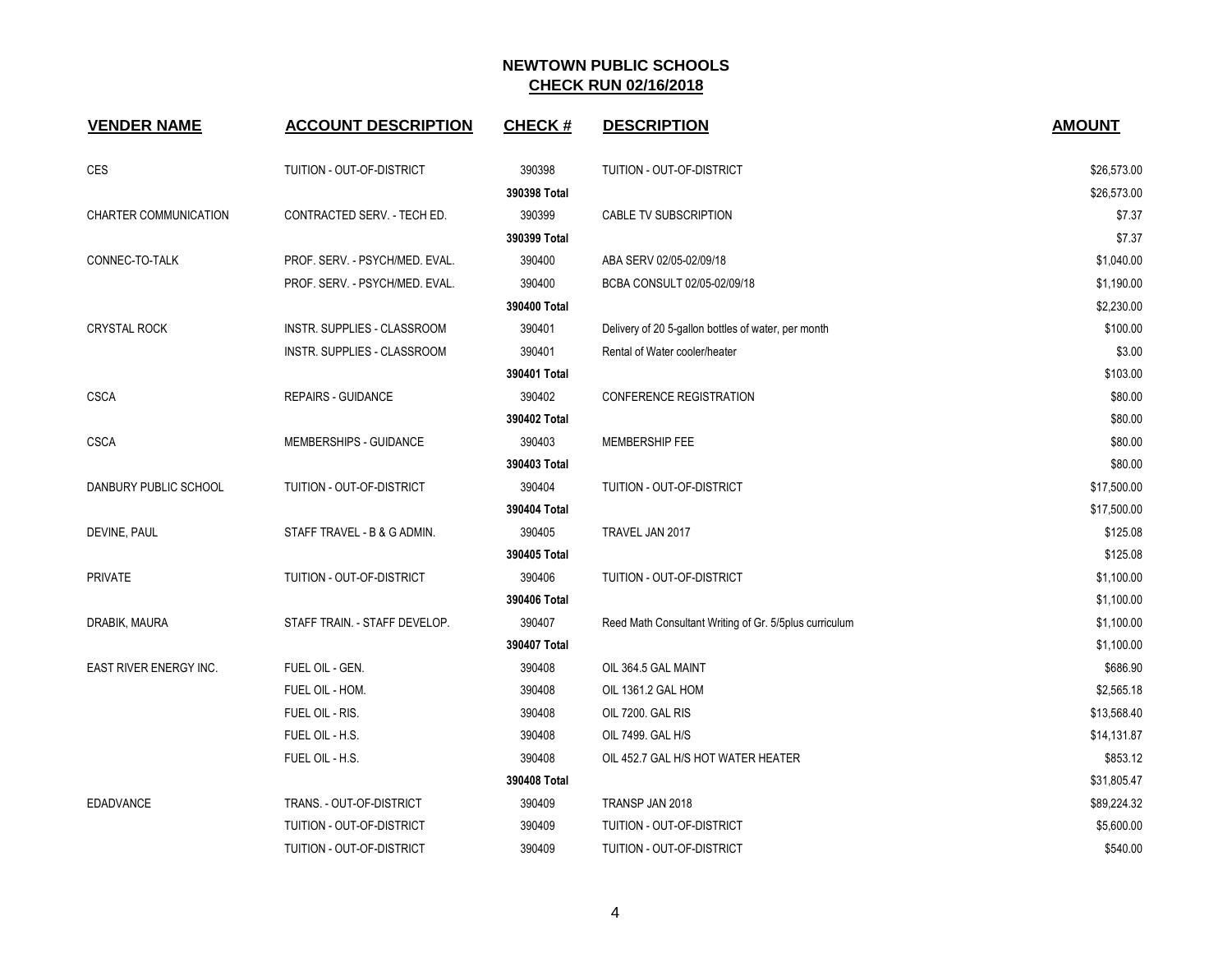| <b>VENDER NAME</b>     | <b>ACCOUNT DESCRIPTION</b>     | <b>CHECK#</b> | <b>DESCRIPTION</b>                                     | <b>AMOUNT</b> |
|------------------------|--------------------------------|---------------|--------------------------------------------------------|---------------|
| <b>CES</b>             | TUITION - OUT-OF-DISTRICT      | 390398        | TUITION - OUT-OF-DISTRICT                              | \$26,573.00   |
|                        |                                | 390398 Total  |                                                        | \$26,573.00   |
| CHARTER COMMUNICATION  | CONTRACTED SERV. - TECH ED.    | 390399        | CABLE TV SUBSCRIPTION                                  | \$7.37        |
|                        |                                | 390399 Total  |                                                        | \$7.37        |
| CONNEC-TO-TALK         | PROF. SERV. - PSYCH/MED. EVAL. | 390400        | ABA SERV 02/05-02/09/18                                | \$1,040.00    |
|                        | PROF. SERV. - PSYCH/MED. EVAL. | 390400        | BCBA CONSULT 02/05-02/09/18                            | \$1,190.00    |
|                        |                                | 390400 Total  |                                                        | \$2,230.00    |
| <b>CRYSTAL ROCK</b>    | INSTR. SUPPLIES - CLASSROOM    | 390401        | Delivery of 20 5-gallon bottles of water, per month    | \$100.00      |
|                        | INSTR. SUPPLIES - CLASSROOM    | 390401        | Rental of Water cooler/heater                          | \$3.00        |
|                        |                                | 390401 Total  |                                                        | \$103.00      |
| <b>CSCA</b>            | <b>REPAIRS - GUIDANCE</b>      | 390402        | CONFERENCE REGISTRATION                                | \$80.00       |
|                        |                                | 390402 Total  |                                                        | \$80.00       |
| <b>CSCA</b>            | MEMBERSHIPS - GUIDANCE         | 390403        | MEMBERSHIP FEE                                         | \$80.00       |
|                        |                                | 390403 Total  |                                                        | \$80.00       |
| DANBURY PUBLIC SCHOOL  | TUITION - OUT-OF-DISTRICT      | 390404        | TUITION - OUT-OF-DISTRICT                              | \$17,500.00   |
|                        |                                | 390404 Total  |                                                        | \$17,500.00   |
| DEVINE, PAUL           | STAFF TRAVEL - B & G ADMIN.    | 390405        | TRAVEL JAN 2017                                        | \$125.08      |
|                        |                                | 390405 Total  |                                                        | \$125.08      |
| <b>PRIVATE</b>         | TUITION - OUT-OF-DISTRICT      | 390406        | TUITION - OUT-OF-DISTRICT                              | \$1,100.00    |
|                        |                                | 390406 Total  |                                                        | \$1,100.00    |
| DRABIK, MAURA          | STAFF TRAIN. - STAFF DEVELOP.  | 390407        | Reed Math Consultant Writing of Gr. 5/5plus curriculum | \$1,100.00    |
|                        |                                | 390407 Total  |                                                        | \$1,100.00    |
| EAST RIVER ENERGY INC. | FUEL OIL - GEN.                | 390408        | OIL 364.5 GAL MAINT                                    | \$686.90      |
|                        | FUEL OIL - HOM.                | 390408        | OIL 1361.2 GAL HOM                                     | \$2,565.18    |
|                        | FUEL OIL - RIS.                | 390408        | OIL 7200. GAL RIS                                      | \$13,568.40   |
|                        | FUEL OIL - H.S.                | 390408        | OIL 7499. GAL H/S                                      | \$14,131.87   |
|                        | FUEL OIL - H.S.                | 390408        | OIL 452.7 GAL H/S HOT WATER HEATER                     | \$853.12      |
|                        |                                | 390408 Total  |                                                        | \$31,805.47   |
| EDADVANCE              | TRANS. - OUT-OF-DISTRICT       | 390409        | TRANSP JAN 2018                                        | \$89,224.32   |
|                        | TUITION - OUT-OF-DISTRICT      | 390409        | TUITION - OUT-OF-DISTRICT                              | \$5,600.00    |
|                        | TUITION - OUT-OF-DISTRICT      | 390409        | TUITION - OUT-OF-DISTRICT                              | \$540.00      |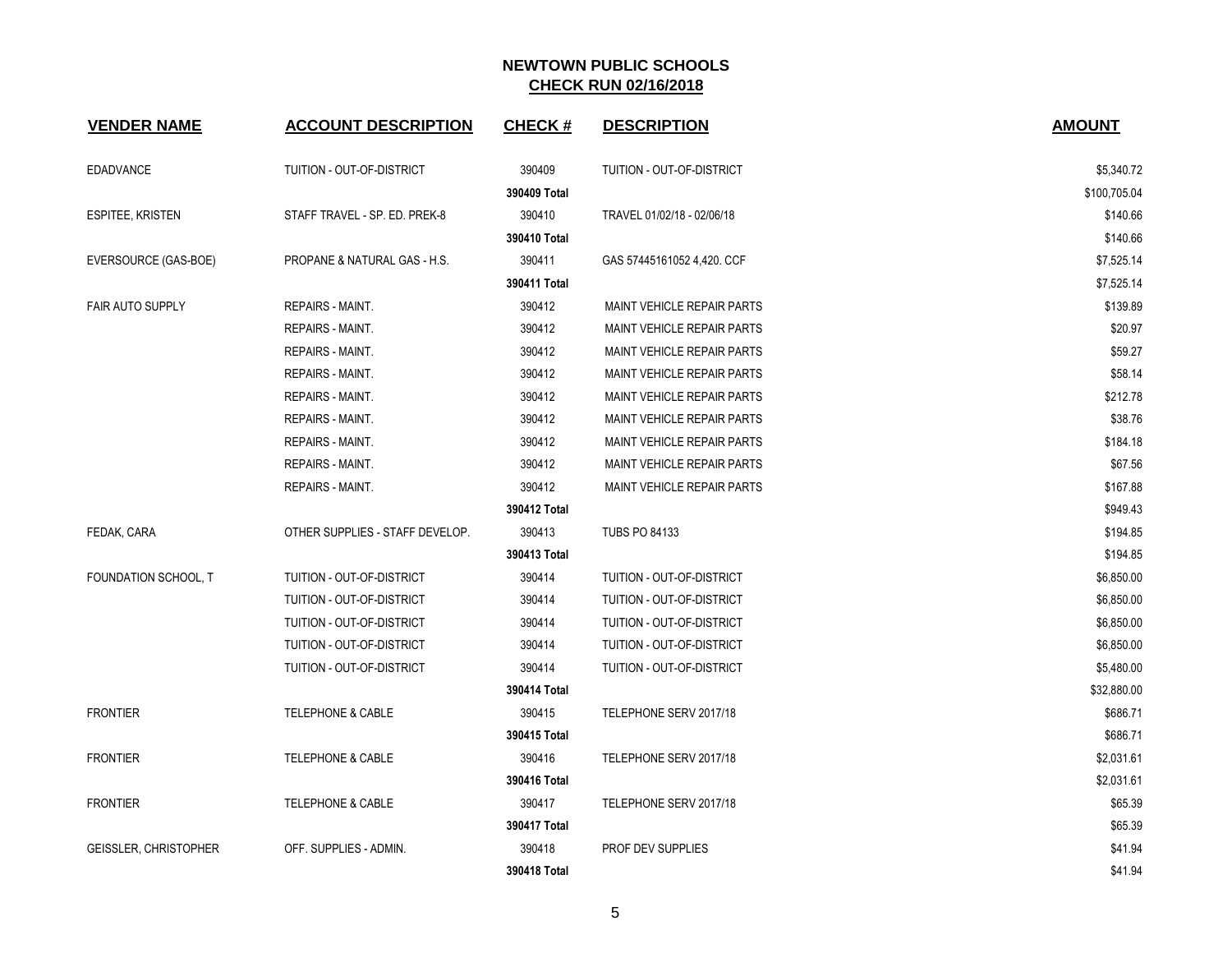| <b>VENDER NAME</b>           | <b>ACCOUNT DESCRIPTION</b>      | <b>CHECK#</b> | <b>DESCRIPTION</b>                | <b>AMOUNT</b> |
|------------------------------|---------------------------------|---------------|-----------------------------------|---------------|
| <b>EDADVANCE</b>             | TUITION - OUT-OF-DISTRICT       | 390409        | TUITION - OUT-OF-DISTRICT         | \$5,340.72    |
|                              |                                 | 390409 Total  |                                   | \$100,705.04  |
| <b>ESPITEE, KRISTEN</b>      | STAFF TRAVEL - SP. ED. PREK-8   | 390410        | TRAVEL 01/02/18 - 02/06/18        | \$140.66      |
|                              |                                 | 390410 Total  |                                   | \$140.66      |
| EVERSOURCE (GAS-BOE)         | PROPANE & NATURAL GAS - H.S.    | 390411        | GAS 57445161052 4,420. CCF        | \$7,525.14    |
|                              |                                 | 390411 Total  |                                   | \$7,525.14    |
| <b>FAIR AUTO SUPPLY</b>      | <b>REPAIRS - MAINT.</b>         | 390412        | MAINT VEHICLE REPAIR PARTS        | \$139.89      |
|                              | REPAIRS - MAINT.                | 390412        | <b>MAINT VEHICLE REPAIR PARTS</b> | \$20.97       |
|                              | REPAIRS - MAINT.                | 390412        | <b>MAINT VEHICLE REPAIR PARTS</b> | \$59.27       |
|                              | <b>REPAIRS - MAINT.</b>         | 390412        | MAINT VEHICLE REPAIR PARTS        | \$58.14       |
|                              | <b>REPAIRS - MAINT.</b>         | 390412        | MAINT VEHICLE REPAIR PARTS        | \$212.78      |
|                              | <b>REPAIRS - MAINT.</b>         | 390412        | MAINT VEHICLE REPAIR PARTS        | \$38.76       |
|                              | REPAIRS - MAINT.                | 390412        | <b>MAINT VEHICLE REPAIR PARTS</b> | \$184.18      |
|                              | REPAIRS - MAINT.                | 390412        | MAINT VEHICLE REPAIR PARTS        | \$67.56       |
|                              | <b>REPAIRS - MAINT.</b>         | 390412        | MAINT VEHICLE REPAIR PARTS        | \$167.88      |
|                              |                                 | 390412 Total  |                                   | \$949.43      |
| FEDAK, CARA                  | OTHER SUPPLIES - STAFF DEVELOP. | 390413        | <b>TUBS PO 84133</b>              | \$194.85      |
|                              |                                 | 390413 Total  |                                   | \$194.85      |
| FOUNDATION SCHOOL, T         | TUITION - OUT-OF-DISTRICT       | 390414        | TUITION - OUT-OF-DISTRICT         | \$6,850.00    |
|                              | TUITION - OUT-OF-DISTRICT       | 390414        | TUITION - OUT-OF-DISTRICT         | \$6,850.00    |
|                              | TUITION - OUT-OF-DISTRICT       | 390414        | TUITION - OUT-OF-DISTRICT         | \$6,850.00    |
|                              | TUITION - OUT-OF-DISTRICT       | 390414        | TUITION - OUT-OF-DISTRICT         | \$6,850.00    |
|                              | TUITION - OUT-OF-DISTRICT       | 390414        | TUITION - OUT-OF-DISTRICT         | \$5,480.00    |
|                              |                                 | 390414 Total  |                                   | \$32,880.00   |
| <b>FRONTIER</b>              | <b>TELEPHONE &amp; CABLE</b>    | 390415        | TELEPHONE SERV 2017/18            | \$686.71      |
|                              |                                 | 390415 Total  |                                   | \$686.71      |
| <b>FRONTIER</b>              | <b>TELEPHONE &amp; CABLE</b>    | 390416        | TELEPHONE SERV 2017/18            | \$2,031.61    |
|                              |                                 | 390416 Total  |                                   | \$2,031.61    |
| <b>FRONTIER</b>              | <b>TELEPHONE &amp; CABLE</b>    | 390417        | TELEPHONE SERV 2017/18            | \$65.39       |
|                              |                                 | 390417 Total  |                                   | \$65.39       |
| <b>GEISSLER, CHRISTOPHER</b> | OFF. SUPPLIES - ADMIN.          | 390418        | PROF DEV SUPPLIES                 | \$41.94       |
|                              |                                 | 390418 Total  |                                   | \$41.94       |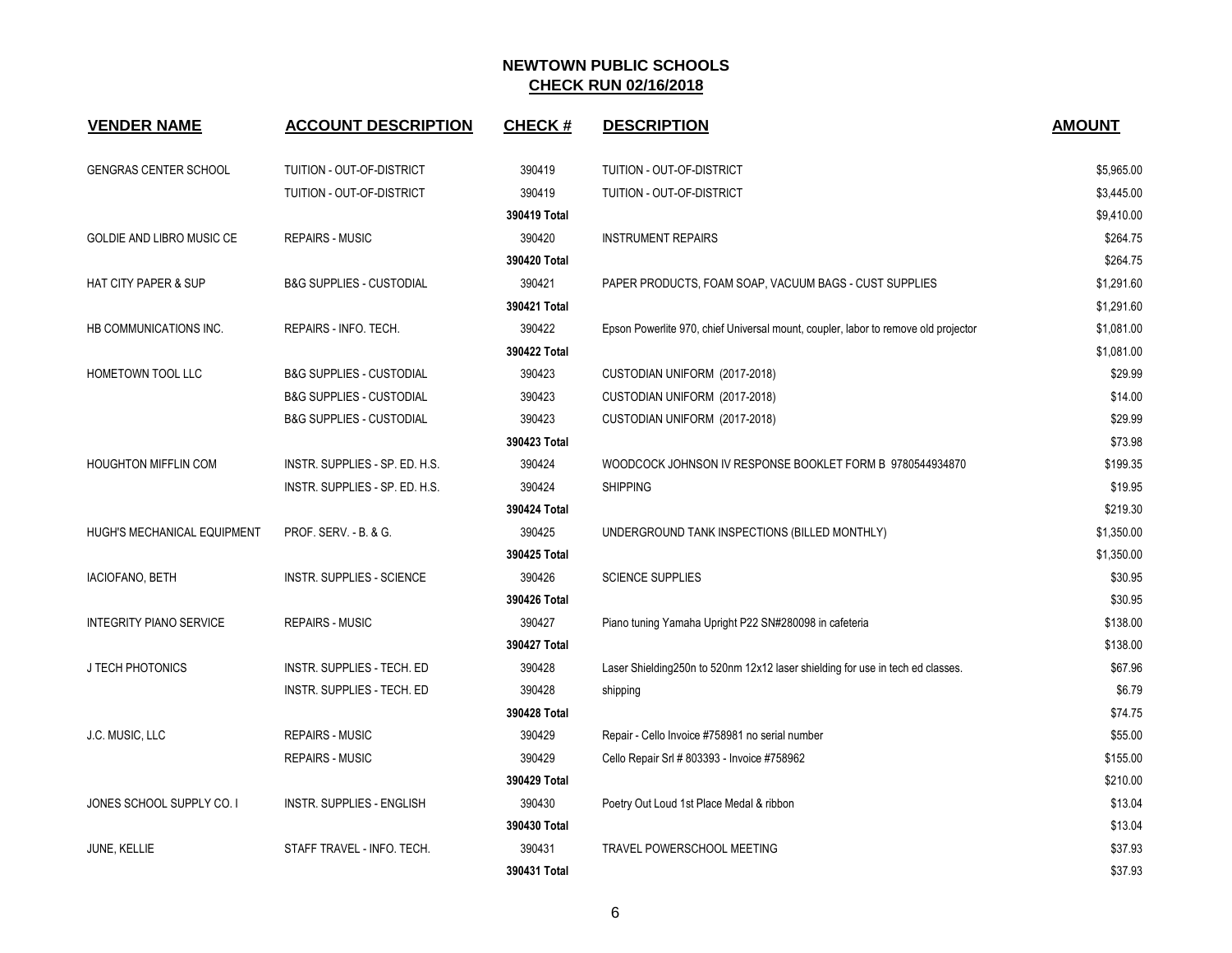| <b>VENDER NAME</b>              | <b>ACCOUNT DESCRIPTION</b>          | <b>CHECK#</b> | <b>DESCRIPTION</b>                                                                 | <b>AMOUNT</b> |
|---------------------------------|-------------------------------------|---------------|------------------------------------------------------------------------------------|---------------|
| <b>GENGRAS CENTER SCHOOL</b>    | TUITION - OUT-OF-DISTRICT           | 390419        | TUITION - OUT-OF-DISTRICT                                                          | \$5,965.00    |
|                                 | TUITION - OUT-OF-DISTRICT           | 390419        | TUITION - OUT-OF-DISTRICT                                                          | \$3,445.00    |
|                                 |                                     | 390419 Total  |                                                                                    | \$9,410.00    |
| GOLDIE AND LIBRO MUSIC CE       | <b>REPAIRS - MUSIC</b>              | 390420        | <b>INSTRUMENT REPAIRS</b>                                                          | \$264.75      |
|                                 |                                     | 390420 Total  |                                                                                    | \$264.75      |
| <b>HAT CITY PAPER &amp; SUP</b> | <b>B&amp;G SUPPLIES - CUSTODIAL</b> | 390421        | PAPER PRODUCTS, FOAM SOAP, VACUUM BAGS - CUST SUPPLIES                             | \$1,291.60    |
|                                 |                                     | 390421 Total  |                                                                                    | \$1,291.60    |
| HB COMMUNICATIONS INC.          | REPAIRS - INFO. TECH.               | 390422        | Epson Powerlite 970, chief Universal mount, coupler, labor to remove old projector | \$1,081.00    |
|                                 |                                     | 390422 Total  |                                                                                    | \$1,081.00    |
| HOMETOWN TOOL LLC               | <b>B&amp;G SUPPLIES - CUSTODIAL</b> | 390423        | CUSTODIAN UNIFORM (2017-2018)                                                      | \$29.99       |
|                                 | <b>B&amp;G SUPPLIES - CUSTODIAL</b> | 390423        | CUSTODIAN UNIFORM (2017-2018)                                                      | \$14.00       |
|                                 | <b>B&amp;G SUPPLIES - CUSTODIAL</b> | 390423        | CUSTODIAN UNIFORM (2017-2018)                                                      | \$29.99       |
|                                 |                                     | 390423 Total  |                                                                                    | \$73.98       |
| <b>HOUGHTON MIFFLIN COM</b>     | INSTR. SUPPLIES - SP. ED. H.S.      | 390424        | WOODCOCK JOHNSON IV RESPONSE BOOKLET FORM B 9780544934870                          | \$199.35      |
|                                 | INSTR. SUPPLIES - SP. ED. H.S.      | 390424        | <b>SHIPPING</b>                                                                    | \$19.95       |
|                                 |                                     | 390424 Total  |                                                                                    | \$219.30      |
| HUGH'S MECHANICAL EQUIPMENT     | PROF. SERV. - B. & G.               | 390425        | UNDERGROUND TANK INSPECTIONS (BILLED MONTHLY)                                      | \$1,350.00    |
|                                 |                                     | 390425 Total  |                                                                                    | \$1,350.00    |
| <b>IACIOFANO, BETH</b>          | <b>INSTR. SUPPLIES - SCIENCE</b>    | 390426        | <b>SCIENCE SUPPLIES</b>                                                            | \$30.95       |
|                                 |                                     | 390426 Total  |                                                                                    | \$30.95       |
| <b>INTEGRITY PIANO SERVICE</b>  | <b>REPAIRS - MUSIC</b>              | 390427        | Piano tuning Yamaha Upright P22 SN#280098 in cafeteria                             | \$138.00      |
|                                 |                                     | 390427 Total  |                                                                                    | \$138.00      |
| J TECH PHOTONICS                | INSTR. SUPPLIES - TECH. ED          | 390428        | Laser Shielding250n to 520nm 12x12 laser shielding for use in tech ed classes.     | \$67.96       |
|                                 | INSTR. SUPPLIES - TECH. ED          | 390428        | shipping                                                                           | \$6.79        |
|                                 |                                     | 390428 Total  |                                                                                    | \$74.75       |
| J.C. MUSIC, LLC                 | <b>REPAIRS - MUSIC</b>              | 390429        | Repair - Cello Invoice #758981 no serial number                                    | \$55.00       |
|                                 | <b>REPAIRS - MUSIC</b>              | 390429        | Cello Repair Srl # 803393 - Invoice #758962                                        | \$155.00      |
|                                 |                                     | 390429 Total  |                                                                                    | \$210.00      |
| JONES SCHOOL SUPPLY CO. I       | <b>INSTR. SUPPLIES - ENGLISH</b>    | 390430        | Poetry Out Loud 1st Place Medal & ribbon                                           | \$13.04       |
|                                 |                                     | 390430 Total  |                                                                                    | \$13.04       |
| JUNE, KELLIE                    | STAFF TRAVEL - INFO. TECH.          | 390431        | TRAVEL POWERSCHOOL MEETING                                                         | \$37.93       |
|                                 |                                     | 390431 Total  |                                                                                    | \$37.93       |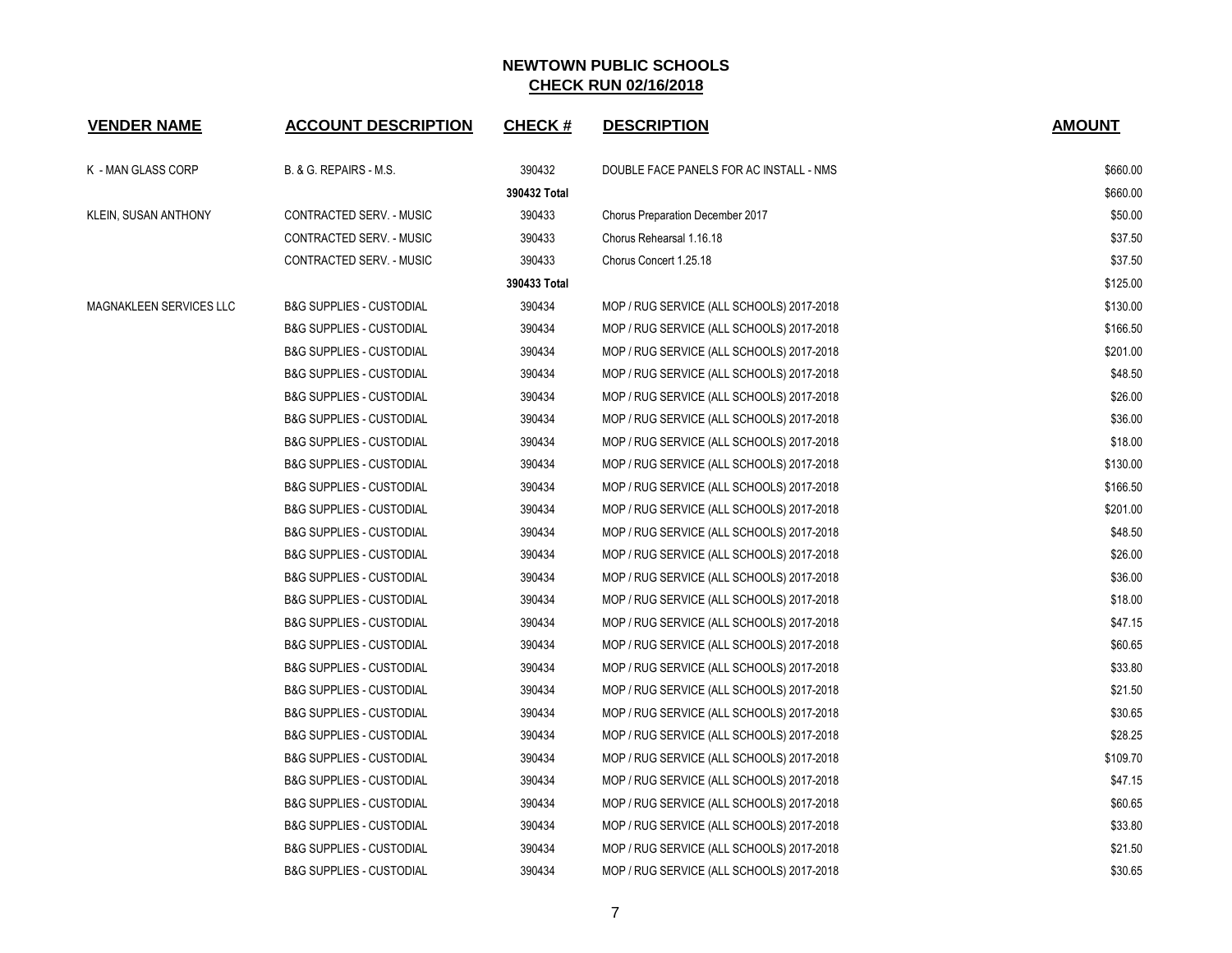| <b>VENDER NAME</b>      | <b>ACCOUNT DESCRIPTION</b>          | <b>CHECK#</b> | <b>DESCRIPTION</b>                        | <b>AMOUNT</b> |
|-------------------------|-------------------------------------|---------------|-------------------------------------------|---------------|
| K - MAN GLASS CORP      | B. & G. REPAIRS - M.S.              | 390432        | DOUBLE FACE PANELS FOR AC INSTALL - NMS   | \$660.00      |
|                         |                                     | 390432 Total  |                                           | \$660.00      |
| KLEIN, SUSAN ANTHONY    | CONTRACTED SERV. - MUSIC            | 390433        | Chorus Preparation December 2017          | \$50.00       |
|                         | CONTRACTED SERV. - MUSIC            | 390433        | Chorus Rehearsal 1.16.18                  | \$37.50       |
|                         | CONTRACTED SERV. - MUSIC            | 390433        | Chorus Concert 1.25.18                    | \$37.50       |
|                         |                                     | 390433 Total  |                                           | \$125.00      |
| MAGNAKLEEN SERVICES LLC | <b>B&amp;G SUPPLIES - CUSTODIAL</b> | 390434        | MOP / RUG SERVICE (ALL SCHOOLS) 2017-2018 | \$130.00      |
|                         | <b>B&amp;G SUPPLIES - CUSTODIAL</b> | 390434        | MOP / RUG SERVICE (ALL SCHOOLS) 2017-2018 | \$166.50      |
|                         | <b>B&amp;G SUPPLIES - CUSTODIAL</b> | 390434        | MOP / RUG SERVICE (ALL SCHOOLS) 2017-2018 | \$201.00      |
|                         | <b>B&amp;G SUPPLIES - CUSTODIAL</b> | 390434        | MOP / RUG SERVICE (ALL SCHOOLS) 2017-2018 | \$48.50       |
|                         | <b>B&amp;G SUPPLIES - CUSTODIAL</b> | 390434        | MOP / RUG SERVICE (ALL SCHOOLS) 2017-2018 | \$26.00       |
|                         | <b>B&amp;G SUPPLIES - CUSTODIAL</b> | 390434        | MOP / RUG SERVICE (ALL SCHOOLS) 2017-2018 | \$36.00       |
|                         | <b>B&amp;G SUPPLIES - CUSTODIAL</b> | 390434        | MOP / RUG SERVICE (ALL SCHOOLS) 2017-2018 | \$18.00       |
|                         | <b>B&amp;G SUPPLIES - CUSTODIAL</b> | 390434        | MOP / RUG SERVICE (ALL SCHOOLS) 2017-2018 | \$130.00      |
|                         | <b>B&amp;G SUPPLIES - CUSTODIAL</b> | 390434        | MOP / RUG SERVICE (ALL SCHOOLS) 2017-2018 | \$166.50      |
|                         | <b>B&amp;G SUPPLIES - CUSTODIAL</b> | 390434        | MOP / RUG SERVICE (ALL SCHOOLS) 2017-2018 | \$201.00      |
|                         | <b>B&amp;G SUPPLIES - CUSTODIAL</b> | 390434        | MOP / RUG SERVICE (ALL SCHOOLS) 2017-2018 | \$48.50       |
|                         | <b>B&amp;G SUPPLIES - CUSTODIAL</b> | 390434        | MOP / RUG SERVICE (ALL SCHOOLS) 2017-2018 | \$26.00       |
|                         | <b>B&amp;G SUPPLIES - CUSTODIAL</b> | 390434        | MOP / RUG SERVICE (ALL SCHOOLS) 2017-2018 | \$36.00       |
|                         | <b>B&amp;G SUPPLIES - CUSTODIAL</b> | 390434        | MOP / RUG SERVICE (ALL SCHOOLS) 2017-2018 | \$18.00       |
|                         | <b>B&amp;G SUPPLIES - CUSTODIAL</b> | 390434        | MOP / RUG SERVICE (ALL SCHOOLS) 2017-2018 | \$47.15       |
|                         | <b>B&amp;G SUPPLIES - CUSTODIAL</b> | 390434        | MOP / RUG SERVICE (ALL SCHOOLS) 2017-2018 | \$60.65       |
|                         | <b>B&amp;G SUPPLIES - CUSTODIAL</b> | 390434        | MOP / RUG SERVICE (ALL SCHOOLS) 2017-2018 | \$33.80       |
|                         | <b>B&amp;G SUPPLIES - CUSTODIAL</b> | 390434        | MOP / RUG SERVICE (ALL SCHOOLS) 2017-2018 | \$21.50       |
|                         | <b>B&amp;G SUPPLIES - CUSTODIAL</b> | 390434        | MOP / RUG SERVICE (ALL SCHOOLS) 2017-2018 | \$30.65       |
|                         | <b>B&amp;G SUPPLIES - CUSTODIAL</b> | 390434        | MOP / RUG SERVICE (ALL SCHOOLS) 2017-2018 | \$28.25       |
|                         | <b>B&amp;G SUPPLIES - CUSTODIAL</b> | 390434        | MOP / RUG SERVICE (ALL SCHOOLS) 2017-2018 | \$109.70      |
|                         | <b>B&amp;G SUPPLIES - CUSTODIAL</b> | 390434        | MOP / RUG SERVICE (ALL SCHOOLS) 2017-2018 | \$47.15       |
|                         | <b>B&amp;G SUPPLIES - CUSTODIAL</b> | 390434        | MOP / RUG SERVICE (ALL SCHOOLS) 2017-2018 | \$60.65       |
|                         | <b>B&amp;G SUPPLIES - CUSTODIAL</b> | 390434        | MOP / RUG SERVICE (ALL SCHOOLS) 2017-2018 | \$33.80       |
|                         | <b>B&amp;G SUPPLIES - CUSTODIAL</b> | 390434        | MOP / RUG SERVICE (ALL SCHOOLS) 2017-2018 | \$21.50       |
|                         | <b>B&amp;G SUPPLIES - CUSTODIAL</b> | 390434        | MOP / RUG SERVICE (ALL SCHOOLS) 2017-2018 | \$30.65       |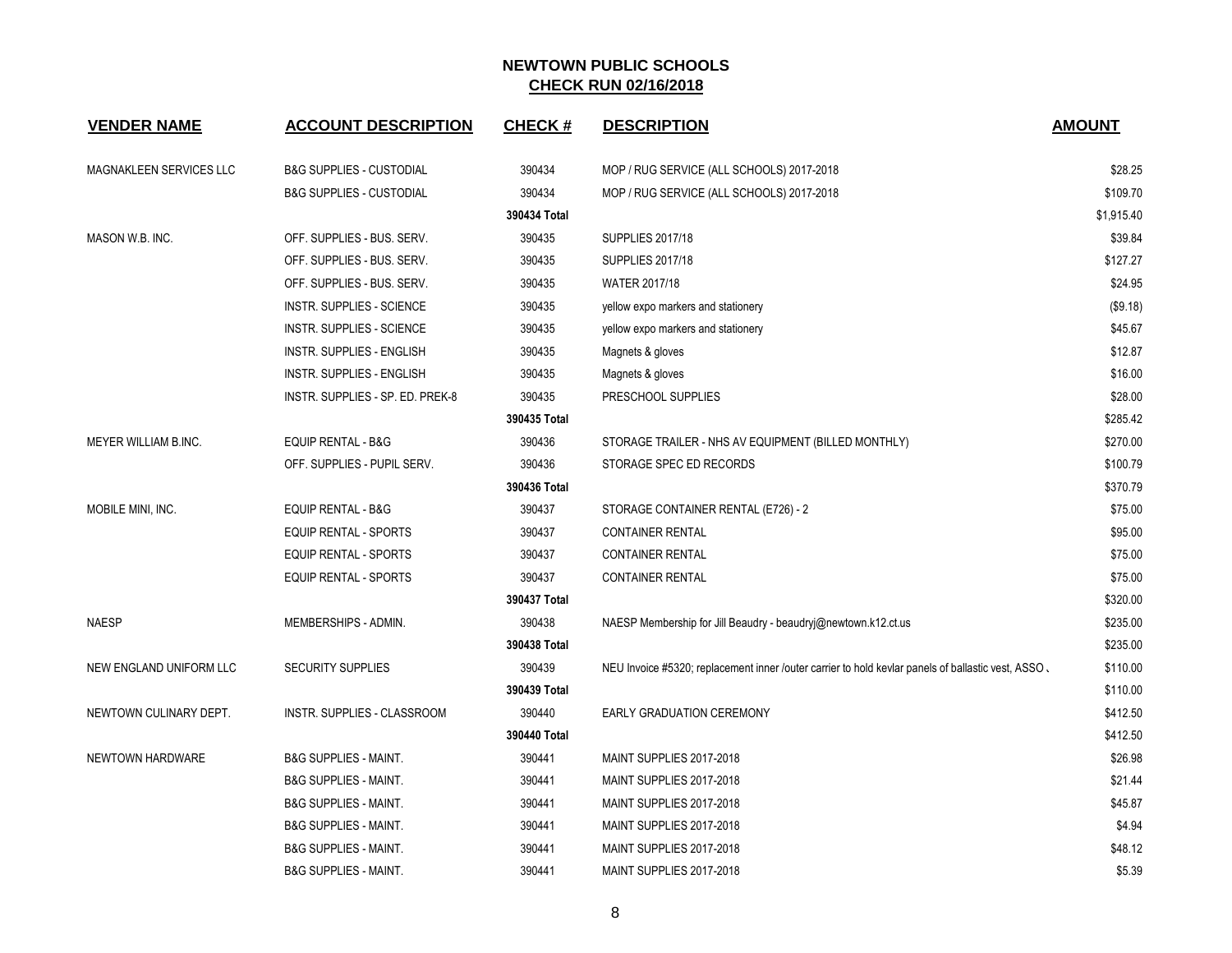| <b>VENDER NAME</b>      | <b>ACCOUNT DESCRIPTION</b>          | <b>CHECK#</b> | <b>DESCRIPTION</b>                                                                                 | <b>AMOUNT</b> |
|-------------------------|-------------------------------------|---------------|----------------------------------------------------------------------------------------------------|---------------|
| MAGNAKLEEN SERVICES LLC | <b>B&amp;G SUPPLIES - CUSTODIAL</b> | 390434        | MOP / RUG SERVICE (ALL SCHOOLS) 2017-2018                                                          | \$28.25       |
|                         | <b>B&amp;G SUPPLIES - CUSTODIAL</b> | 390434        | MOP / RUG SERVICE (ALL SCHOOLS) 2017-2018                                                          | \$109.70      |
|                         |                                     | 390434 Total  |                                                                                                    | \$1,915.40    |
| MASON W.B. INC.         | OFF. SUPPLIES - BUS. SERV.          | 390435        | <b>SUPPLIES 2017/18</b>                                                                            | \$39.84       |
|                         | OFF. SUPPLIES - BUS. SERV.          | 390435        | <b>SUPPLIES 2017/18</b>                                                                            | \$127.27      |
|                         | OFF. SUPPLIES - BUS. SERV.          | 390435        | <b>WATER 2017/18</b>                                                                               | \$24.95       |
|                         | INSTR. SUPPLIES - SCIENCE           | 390435        | yellow expo markers and stationery                                                                 | (\$9.18)      |
|                         | <b>INSTR. SUPPLIES - SCIENCE</b>    | 390435        | yellow expo markers and stationery                                                                 | \$45.67       |
|                         | INSTR. SUPPLIES - ENGLISH           | 390435        | Magnets & gloves                                                                                   | \$12.87       |
|                         | INSTR. SUPPLIES - ENGLISH           | 390435        | Magnets & gloves                                                                                   | \$16.00       |
|                         | INSTR. SUPPLIES - SP. ED. PREK-8    | 390435        | PRESCHOOL SUPPLIES                                                                                 | \$28.00       |
|                         |                                     | 390435 Total  |                                                                                                    | \$285.42      |
| MEYER WILLIAM B.INC.    | <b>EQUIP RENTAL - B&amp;G</b>       | 390436        | STORAGE TRAILER - NHS AV EQUIPMENT (BILLED MONTHLY)                                                | \$270.00      |
|                         | OFF. SUPPLIES - PUPIL SERV.         | 390436        | STORAGE SPEC ED RECORDS                                                                            | \$100.79      |
|                         |                                     | 390436 Total  |                                                                                                    | \$370.79      |
| MOBILE MINI, INC.       | <b>EQUIP RENTAL - B&amp;G</b>       | 390437        | STORAGE CONTAINER RENTAL (E726) - 2                                                                | \$75.00       |
|                         | <b>EQUIP RENTAL - SPORTS</b>        | 390437        | <b>CONTAINER RENTAL</b>                                                                            | \$95.00       |
|                         | <b>EQUIP RENTAL - SPORTS</b>        | 390437        | <b>CONTAINER RENTAL</b>                                                                            | \$75.00       |
|                         | <b>EQUIP RENTAL - SPORTS</b>        | 390437        | <b>CONTAINER RENTAL</b>                                                                            | \$75.00       |
|                         |                                     | 390437 Total  |                                                                                                    | \$320.00      |
| <b>NAESP</b>            | MEMBERSHIPS - ADMIN.                | 390438        | NAESP Membership for Jill Beaudry - beaudryj@newtown.k12.ct.us                                     | \$235.00      |
|                         |                                     | 390438 Total  |                                                                                                    | \$235.00      |
| NEW ENGLAND UNIFORM LLC | <b>SECURITY SUPPLIES</b>            | 390439        | NEU Invoice #5320; replacement inner /outer carrier to hold kevlar panels of ballastic vest, ASSO, | \$110.00      |
|                         |                                     | 390439 Total  |                                                                                                    | \$110.00      |
| NEWTOWN CULINARY DEPT.  | INSTR. SUPPLIES - CLASSROOM         | 390440        | <b>EARLY GRADUATION CEREMONY</b>                                                                   | \$412.50      |
|                         |                                     | 390440 Total  |                                                                                                    | \$412.50      |
| NEWTOWN HARDWARE        | <b>B&amp;G SUPPLIES - MAINT.</b>    | 390441        | MAINT SUPPLIES 2017-2018                                                                           | \$26.98       |
|                         | <b>B&amp;G SUPPLIES - MAINT.</b>    | 390441        | MAINT SUPPLIES 2017-2018                                                                           | \$21.44       |
|                         | <b>B&amp;G SUPPLIES - MAINT.</b>    | 390441        | MAINT SUPPLIES 2017-2018                                                                           | \$45.87       |
|                         | <b>B&amp;G SUPPLIES - MAINT.</b>    | 390441        | MAINT SUPPLIES 2017-2018                                                                           | \$4.94        |
|                         | <b>B&amp;G SUPPLIES - MAINT.</b>    | 390441        | MAINT SUPPLIES 2017-2018                                                                           | \$48.12       |
|                         | B&G SUPPLIES - MAINT.               | 390441        | MAINT SUPPLIES 2017-2018                                                                           | \$5.39        |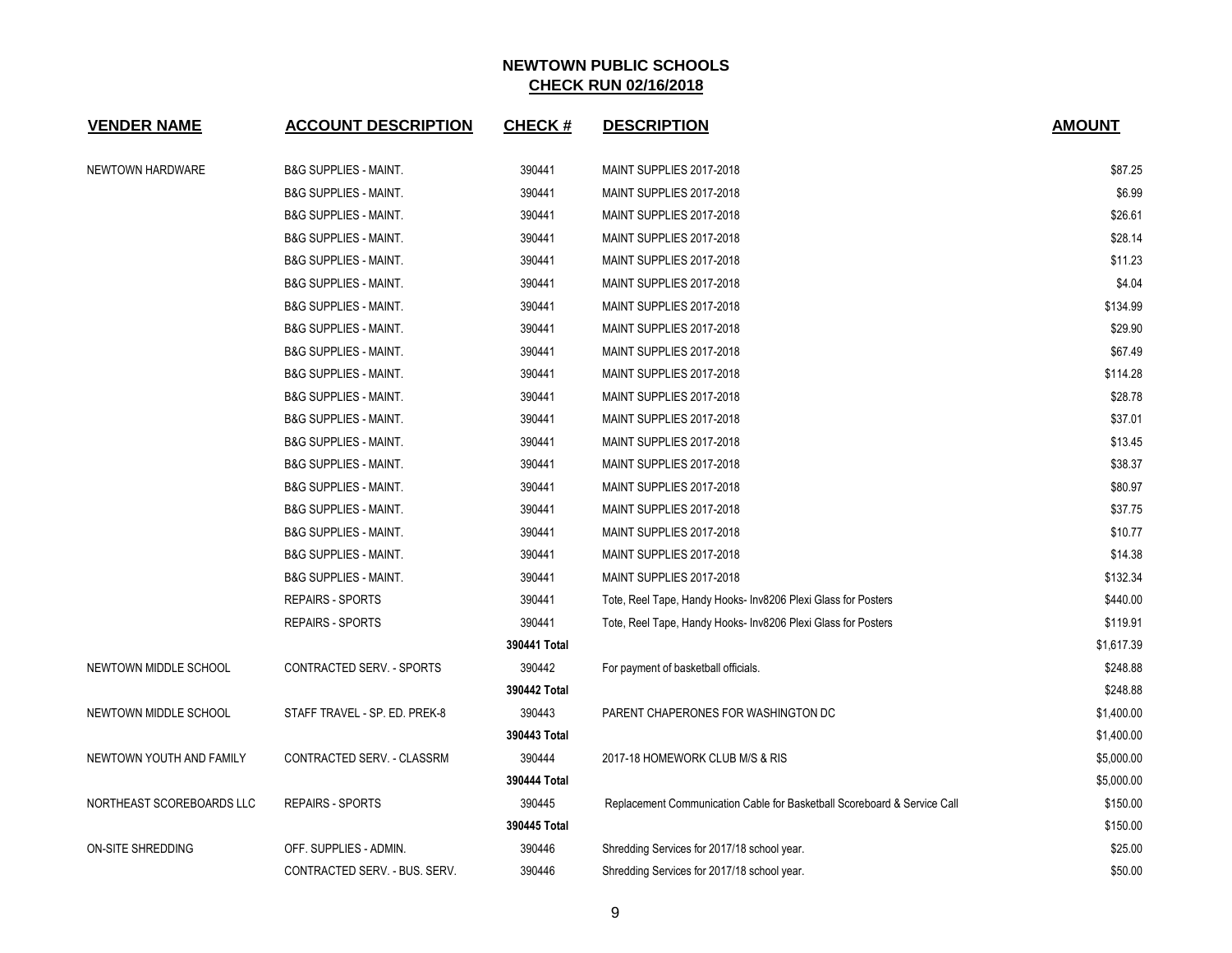| <b>VENDER NAME</b>        | <b>ACCOUNT DESCRIPTION</b>       | <b>CHECK#</b> | <b>DESCRIPTION</b>                                                       | <b>AMOUNT</b> |
|---------------------------|----------------------------------|---------------|--------------------------------------------------------------------------|---------------|
| NEWTOWN HARDWARE          | <b>B&amp;G SUPPLIES - MAINT.</b> | 390441        | MAINT SUPPLIES 2017-2018                                                 | \$87.25       |
|                           | <b>B&amp;G SUPPLIES - MAINT.</b> | 390441        | MAINT SUPPLIES 2017-2018                                                 | \$6.99        |
|                           | <b>B&amp;G SUPPLIES - MAINT.</b> | 390441        | MAINT SUPPLIES 2017-2018                                                 | \$26.61       |
|                           | <b>B&amp;G SUPPLIES - MAINT.</b> | 390441        | MAINT SUPPLIES 2017-2018                                                 | \$28.14       |
|                           | <b>B&amp;G SUPPLIES - MAINT.</b> | 390441        | MAINT SUPPLIES 2017-2018                                                 | \$11.23       |
|                           | <b>B&amp;G SUPPLIES - MAINT.</b> | 390441        | MAINT SUPPLIES 2017-2018                                                 | \$4.04        |
|                           | <b>B&amp;G SUPPLIES - MAINT.</b> | 390441        | MAINT SUPPLIES 2017-2018                                                 | \$134.99      |
|                           | <b>B&amp;G SUPPLIES - MAINT.</b> | 390441        | MAINT SUPPLIES 2017-2018                                                 | \$29.90       |
|                           | <b>B&amp;G SUPPLIES - MAINT.</b> | 390441        | MAINT SUPPLIES 2017-2018                                                 | \$67.49       |
|                           | <b>B&amp;G SUPPLIES - MAINT.</b> | 390441        | MAINT SUPPLIES 2017-2018                                                 | \$114.28      |
|                           | <b>B&amp;G SUPPLIES - MAINT.</b> | 390441        | MAINT SUPPLIES 2017-2018                                                 | \$28.78       |
|                           | <b>B&amp;G SUPPLIES - MAINT.</b> | 390441        | MAINT SUPPLIES 2017-2018                                                 | \$37.01       |
|                           | <b>B&amp;G SUPPLIES - MAINT.</b> | 390441        | MAINT SUPPLIES 2017-2018                                                 | \$13.45       |
|                           | <b>B&amp;G SUPPLIES - MAINT.</b> | 390441        | MAINT SUPPLIES 2017-2018                                                 | \$38.37       |
|                           | <b>B&amp;G SUPPLIES - MAINT.</b> | 390441        | MAINT SUPPLIES 2017-2018                                                 | \$80.97       |
|                           | <b>B&amp;G SUPPLIES - MAINT.</b> | 390441        | MAINT SUPPLIES 2017-2018                                                 | \$37.75       |
|                           | <b>B&amp;G SUPPLIES - MAINT.</b> | 390441        | MAINT SUPPLIES 2017-2018                                                 | \$10.77       |
|                           | <b>B&amp;G SUPPLIES - MAINT.</b> | 390441        | MAINT SUPPLIES 2017-2018                                                 | \$14.38       |
|                           | <b>B&amp;G SUPPLIES - MAINT.</b> | 390441        | MAINT SUPPLIES 2017-2018                                                 | \$132.34      |
|                           | <b>REPAIRS - SPORTS</b>          | 390441        | Tote, Reel Tape, Handy Hooks- Inv8206 Plexi Glass for Posters            | \$440.00      |
|                           | <b>REPAIRS - SPORTS</b>          | 390441        | Tote, Reel Tape, Handy Hooks- Inv8206 Plexi Glass for Posters            | \$119.91      |
|                           |                                  | 390441 Total  |                                                                          | \$1,617.39    |
| NEWTOWN MIDDLE SCHOOL     | CONTRACTED SERV. - SPORTS        | 390442        | For payment of basketball officials.                                     | \$248.88      |
|                           |                                  | 390442 Total  |                                                                          | \$248.88      |
| NEWTOWN MIDDLE SCHOOL     | STAFF TRAVEL - SP. ED. PREK-8    | 390443        | PARENT CHAPERONES FOR WASHINGTON DC                                      | \$1,400.00    |
|                           |                                  | 390443 Total  |                                                                          | \$1,400.00    |
| NEWTOWN YOUTH AND FAMILY  | CONTRACTED SERV. - CLASSRM       | 390444        | 2017-18 HOMEWORK CLUB M/S & RIS                                          | \$5,000.00    |
|                           |                                  | 390444 Total  |                                                                          | \$5,000.00    |
| NORTHEAST SCOREBOARDS LLC | <b>REPAIRS - SPORTS</b>          | 390445        | Replacement Communication Cable for Basketball Scoreboard & Service Call | \$150.00      |
|                           |                                  | 390445 Total  |                                                                          | \$150.00      |
| ON-SITE SHREDDING         | OFF. SUPPLIES - ADMIN.           | 390446        | Shredding Services for 2017/18 school year.                              | \$25.00       |
|                           | CONTRACTED SERV. - BUS. SERV.    | 390446        | Shredding Services for 2017/18 school year.                              | \$50.00       |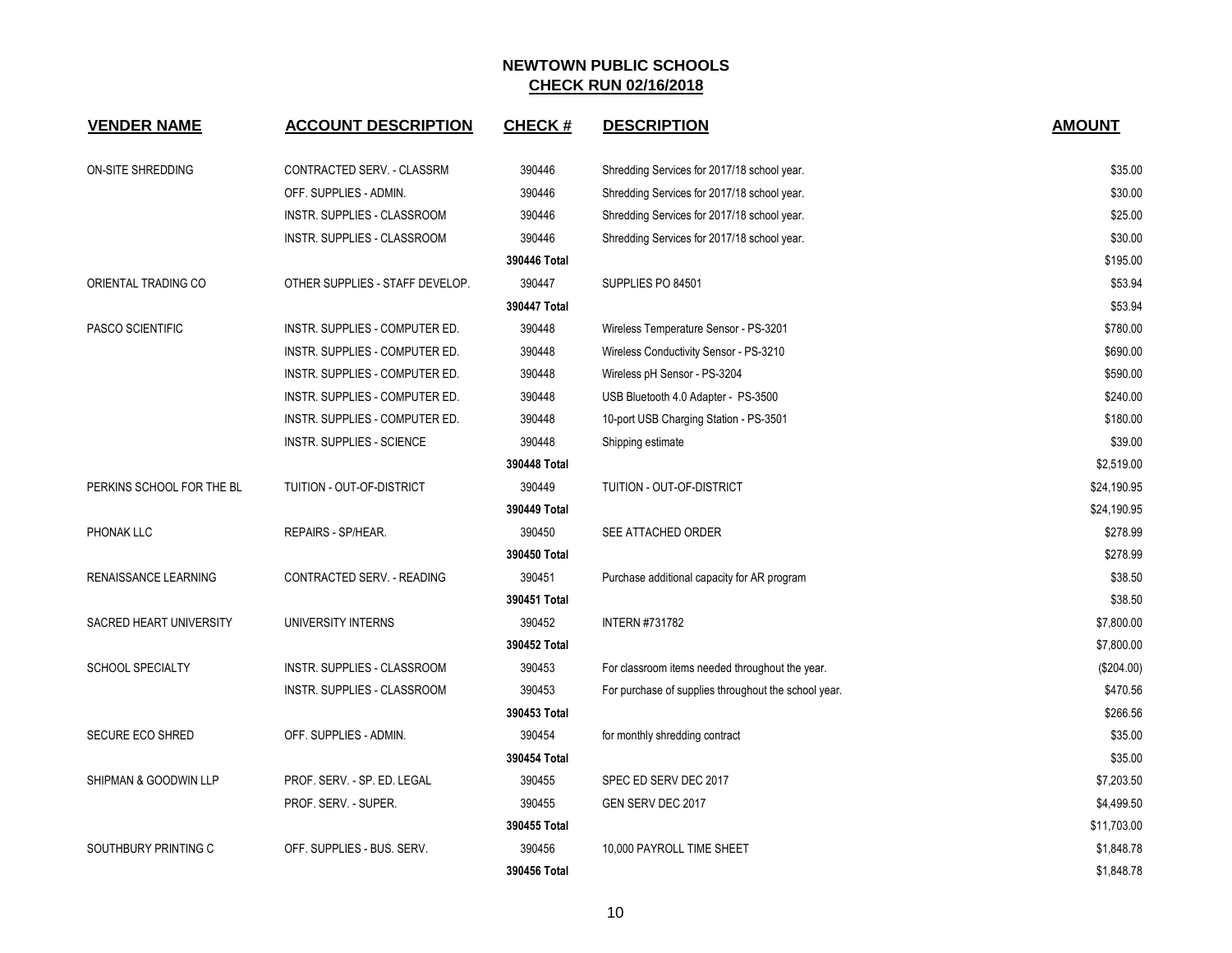| <b>VENDER NAME</b>               | <b>ACCOUNT DESCRIPTION</b>      | <b>CHECK#</b> | <b>DESCRIPTION</b>                                   | <b>AMOUNT</b> |
|----------------------------------|---------------------------------|---------------|------------------------------------------------------|---------------|
| <b>ON-SITE SHREDDING</b>         | CONTRACTED SERV. - CLASSRM      | 390446        | Shredding Services for 2017/18 school year.          | \$35.00       |
|                                  | OFF. SUPPLIES - ADMIN.          | 390446        | Shredding Services for 2017/18 school year.          | \$30.00       |
|                                  | INSTR. SUPPLIES - CLASSROOM     | 390446        | Shredding Services for 2017/18 school year.          | \$25.00       |
|                                  | INSTR. SUPPLIES - CLASSROOM     | 390446        | Shredding Services for 2017/18 school year.          | \$30.00       |
|                                  |                                 | 390446 Total  |                                                      | \$195.00      |
| ORIENTAL TRADING CO              | OTHER SUPPLIES - STAFF DEVELOP. | 390447        | SUPPLIES PO 84501                                    | \$53.94       |
|                                  |                                 | 390447 Total  |                                                      | \$53.94       |
| <b>PASCO SCIENTIFIC</b>          | INSTR. SUPPLIES - COMPUTER ED.  | 390448        | Wireless Temperature Sensor - PS-3201                | \$780.00      |
|                                  | INSTR. SUPPLIES - COMPUTER ED.  | 390448        | Wireless Conductivity Sensor - PS-3210               | \$690.00      |
|                                  | INSTR. SUPPLIES - COMPUTER ED.  | 390448        | Wireless pH Sensor - PS-3204                         | \$590.00      |
|                                  | INSTR. SUPPLIES - COMPUTER ED.  | 390448        | USB Bluetooth 4.0 Adapter - PS-3500                  | \$240.00      |
|                                  | INSTR. SUPPLIES - COMPUTER ED.  | 390448        | 10-port USB Charging Station - PS-3501               | \$180.00      |
|                                  | INSTR. SUPPLIES - SCIENCE       | 390448        | Shipping estimate                                    | \$39.00       |
|                                  |                                 | 390448 Total  |                                                      | \$2,519.00    |
| PERKINS SCHOOL FOR THE BL        | TUITION - OUT-OF-DISTRICT       | 390449        | TUITION - OUT-OF-DISTRICT                            | \$24,190.95   |
|                                  |                                 | 390449 Total  |                                                      | \$24,190.95   |
| PHONAK LLC                       | REPAIRS - SP/HEAR.              | 390450        | SEE ATTACHED ORDER                                   | \$278.99      |
|                                  |                                 | 390450 Total  |                                                      | \$278.99      |
| RENAISSANCE LEARNING             | CONTRACTED SERV. - READING      | 390451        | Purchase additional capacity for AR program          | \$38.50       |
|                                  |                                 | 390451 Total  |                                                      | \$38.50       |
| <b>SACRED HEART UNIVERSITY</b>   | UNIVERSITY INTERNS              | 390452        | <b>INTERN #731782</b>                                | \$7,800.00    |
|                                  |                                 | 390452 Total  |                                                      | \$7,800.00    |
| SCHOOL SPECIALTY                 | INSTR. SUPPLIES - CLASSROOM     | 390453        | For classroom items needed throughout the year.      | (\$204.00)    |
|                                  | INSTR. SUPPLIES - CLASSROOM     | 390453        | For purchase of supplies throughout the school year. | \$470.56      |
|                                  |                                 | 390453 Total  |                                                      | \$266.56      |
| SECURE ECO SHRED                 | OFF. SUPPLIES - ADMIN.          | 390454        | for monthly shredding contract                       | \$35.00       |
|                                  |                                 | 390454 Total  |                                                      | \$35.00       |
| <b>SHIPMAN &amp; GOODWIN LLP</b> | PROF. SERV. - SP. ED. LEGAL     | 390455        | SPEC ED SERV DEC 2017                                | \$7,203.50    |
|                                  | PROF. SERV. - SUPER.            | 390455        | GEN SERV DEC 2017                                    | \$4,499.50    |
|                                  |                                 | 390455 Total  |                                                      | \$11,703.00   |
| SOUTHBURY PRINTING C             | OFF. SUPPLIES - BUS. SERV.      | 390456        | 10,000 PAYROLL TIME SHEET                            | \$1,848.78    |
|                                  |                                 | 390456 Total  |                                                      | \$1,848.78    |